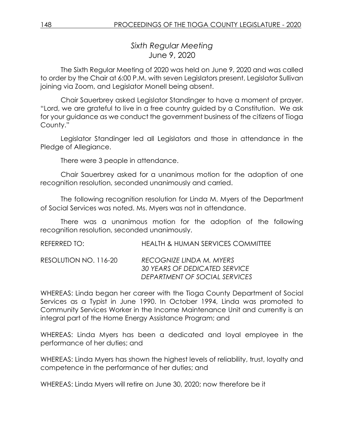*Sixth Regular Meeting* June 9, 2020

The Sixth Regular Meeting of 2020 was held on June 9, 2020 and was called to order by the Chair at 6:00 P.M. with seven Legislators present, Legislator Sullivan joining via Zoom, and Legislator Monell being absent.

Chair Sauerbrey asked Legislator Standinger to have a moment of prayer. "Lord, we are grateful to live in a free country guided by a Constitution. We ask for your guidance as we conduct the government business of the citizens of Tioga County."

Legislator Standinger led all Legislators and those in attendance in the Pledge of Allegiance.

There were 3 people in attendance.

Chair Sauerbrey asked for a unanimous motion for the adoption of one recognition resolution, seconded unanimously and carried.

The following recognition resolution for Linda M. Myers of the Department of Social Services was noted. Ms. Myers was not in attendance.

There was a unanimous motion for the adoption of the following recognition resolution, seconded unanimously.

REFERRED TO: HEALTH & HUMAN SERVICES COMMITTEE

RESOLUTION NO. 116-20 *RECOGNIZE LINDA M. MYERS 30 YEARS OF DEDICATED SERVICE DEPARTMENT OF SOCIAL SERVICES*

WHEREAS: Linda began her career with the Tioga County Department of Social Services as a Typist in June 1990. In October 1994, Linda was promoted to Community Services Worker in the Income Maintenance Unit and currently is an integral part of the Home Energy Assistance Program; and

WHEREAS: Linda Myers has been a dedicated and loyal employee in the performance of her duties; and

WHEREAS: Linda Myers has shown the highest levels of reliability, trust, loyalty and competence in the performance of her duties; and

WHEREAS: Linda Myers will retire on June 30, 2020; now therefore be it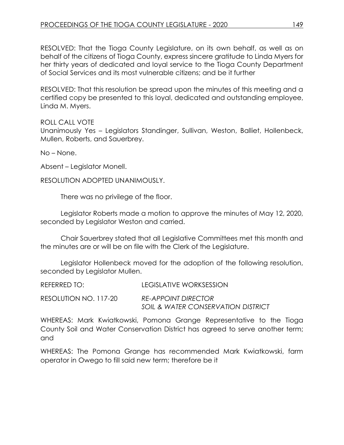RESOLVED: That the Tioga County Legislature, on its own behalf, as well as on behalf of the citizens of Tioga County, express sincere gratitude to Linda Myers for her thirty years of dedicated and loyal service to the Tioga County Department of Social Services and its most vulnerable citizens; and be it further

RESOLVED: That this resolution be spread upon the minutes of this meeting and a certified copy be presented to this loyal, dedicated and outstanding employee, Linda M. Myers.

ROLL CALL VOTE

Unanimously Yes – Legislators Standinger, Sullivan, Weston, Balliet, Hollenbeck, Mullen, Roberts, and Sauerbrey.

No – None.

Absent – Legislator Monell.

RESOLUTION ADOPTED UNANIMOUSLY.

There was no privilege of the floor.

Legislator Roberts made a motion to approve the minutes of May 12, 2020, seconded by Legislator Weston and carried.

Chair Sauerbrey stated that all Legislative Committees met this month and the minutes are or will be on file with the Clerk of the Legislature.

Legislator Hollenbeck moved for the adoption of the following resolution, seconded by Legislator Mullen.

| REFERRED TO: I        | LEGISLATIVE WORKSESSION            |
|-----------------------|------------------------------------|
| RESOLUTION NO. 117-20 | <b>RE-APPOINT DIRECTOR</b>         |
|                       | SOIL & WATER CONSERVATION DISTRICT |

WHEREAS: Mark Kwiatkowski, Pomona Grange Representative to the Tioga County Soil and Water Conservation District has agreed to serve another term; and

WHEREAS: The Pomona Grange has recommended Mark Kwiatkowski, farm operator in Owego to fill said new term; therefore be it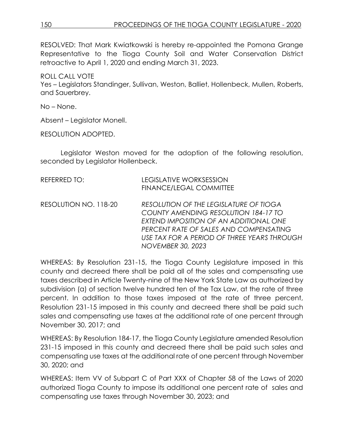RESOLVED: That Mark Kwiatkowski is hereby re-appointed the Pomona Grange Representative to the Tioga County Soil and Water Conservation District retroactive to April 1, 2020 and ending March 31, 2023.

ROLL CALL VOTE Yes – Legislators Standinger, Sullivan, Weston, Balliet, Hollenbeck, Mullen, Roberts, and Sauerbrey.

No – None.

Absent – Legislator Monell.

RESOLUTION ADOPTED.

Legislator Weston moved for the adoption of the following resolution, seconded by Legislator Hollenbeck.

| <b>REFERRED TO:</b>   | <b>LEGISLATIVE WORKSESSION</b><br>FINANCE/LEGAL COMMITTEE                                                                                                                                                                                     |
|-----------------------|-----------------------------------------------------------------------------------------------------------------------------------------------------------------------------------------------------------------------------------------------|
| RESOLUTION NO. 118-20 | RESOLUTION OF THE LEGISLATURE OF TIOGA<br>COUNTY AMENDING RESOLUTION 184-17 TO<br>EXTEND IMPOSITION OF AN ADDITIONAL ONE<br>PERCENT RATE OF SALES AND COMPENSATING<br>USE TAX FOR A PERIOD OF THREE YEARS THROUGH<br><b>NOVEMBER 30, 2023</b> |

WHEREAS: By Resolution 231-15, the Tioga County Legislature imposed in this county and decreed there shall be paid all of the sales and compensating use taxes described in Article Twenty-nine of the New York State Law as authorized by subdivision (a) of section twelve hundred ten of the Tax Law, at the rate of three percent. In addition to those taxes imposed at the rate of three percent, Resolution 231-15 imposed in this county and decreed there shall be paid such sales and compensating use taxes at the additional rate of one percent through November 30, 2017; and

WHEREAS: By Resolution 184-17, the Tioga County Legislature amended Resolution 231-15 imposed in this county and decreed there shall be paid such sales and compensating use taxes at the additional rate of one percent through November 30, 2020; and

WHEREAS: Item VV of Subpart C of Part XXX of Chapter 58 of the Laws of 2020 authorized Tioga County to impose its additional one percent rate of sales and compensating use taxes through November 30, 2023; and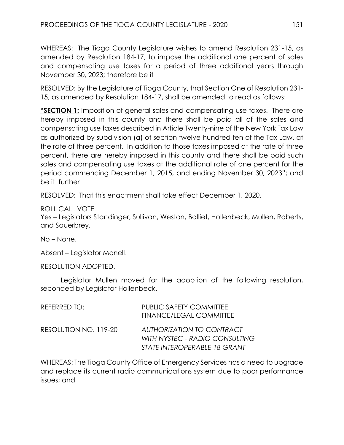WHEREAS: The Tioga County Legislature wishes to amend Resolution 231-15, as amended by Resolution 184-17, to impose the additional one percent of sales and compensating use taxes for a period of three additional years through November 30, 2023; therefore be it

RESOLVED: By the Legislature of Tioga County, that Section One of Resolution 231- 15, as amended by Resolution 184-17, shall be amended to read as follows:

**"SECTION 1:** Imposition of general sales and compensating use taxes. There are hereby imposed in this county and there shall be paid all of the sales and compensating use taxes described in Article Twenty-nine of the New York Tax Law as authorized by subdivision (a) of section twelve hundred ten of the Tax Law, at the rate of three percent. In addition to those taxes imposed at the rate of three percent, there are hereby imposed in this county and there shall be paid such sales and compensating use taxes at the additional rate of one percent for the period commencing December 1, 2015, and ending November 30, 2023"; and be it further

RESOLVED: That this enactment shall take effect December 1, 2020.

ROLL CALL VOTE

Yes – Legislators Standinger, Sullivan, Weston, Balliet, Hollenbeck, Mullen, Roberts, and Sauerbrey.

No – None.

Absent – Legislator Monell.

RESOLUTION ADOPTED.

Legislator Mullen moved for the adoption of the following resolution, seconded by Legislator Hollenbeck.

| REFERRED TO:          | <b>PUBLIC SAFETY COMMITTEE</b><br>FINANCE/LEGAL COMMITTEE                                   |
|-----------------------|---------------------------------------------------------------------------------------------|
| RESOLUTION NO. 119-20 | AUTHORIZATION TO CONTRACT<br>WITH NYSTEC - RADIO CONSULTING<br>STATE INTEROPERABLE 18 GRANT |

WHEREAS: The Tioga County Office of Emergency Services has a need to upgrade and replace its current radio communications system due to poor performance issues; and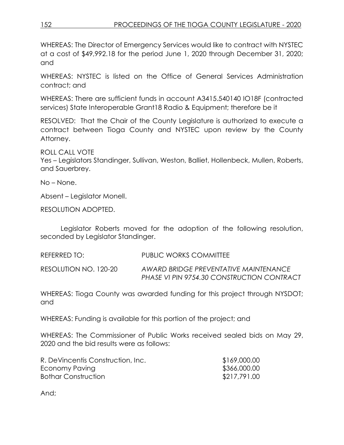WHEREAS: The Director of Emergency Services would like to contract with NYSTEC at a cost of \$49,992.18 for the period June 1, 2020 through December 31, 2020; and

WHEREAS: NYSTEC is listed on the Office of General Services Administration contract; and

WHEREAS: There are sufficient funds in account A3415.540140 IO18F (contracted services) State Interoperable Grant18 Radio & Equipment; therefore be it

RESOLVED: That the Chair of the County Legislature is authorized to execute a contract between Tioga County and NYSTEC upon review by the County Attorney.

ROLL CALL VOTE Yes – Legislators Standinger, Sullivan, Weston, Balliet, Hollenbeck, Mullen, Roberts, and Sauerbrey.

No – None.

Absent – Legislator Monell.

RESOLUTION ADOPTED.

Legislator Roberts moved for the adoption of the following resolution, seconded by Legislator Standinger.

REFERRED TO: PUBLIC WORKS COMMITTEE RESOLUTION NO. 120-20 *AWARD BRIDGE PREVENTATIVE MAINTENANCE PHASE VI PIN 9754.30 CONSTRUCTION CONTRACT*

WHEREAS: Tioga County was awarded funding for this project through NYSDOT; and

WHEREAS: Funding is available for this portion of the project; and

WHEREAS: The Commissioner of Public Works received sealed bids on May 29, 2020 and the bid results were as follows:

| R. DeVincentis Construction, Inc. | \$169,000.00 |
|-----------------------------------|--------------|
| Economy Paving                    | \$366,000.00 |
| Bothar Construction               | \$217,791.00 |

And;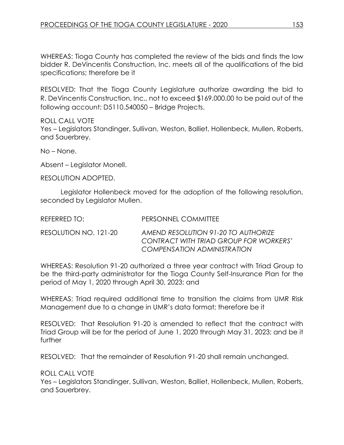WHEREAS: Tioga County has completed the review of the bids and finds the low bidder R. DeVincentis Construction, Inc. meets all of the qualifications of the bid specifications; therefore be it

RESOLVED: That the Tioga County Legislature authorize awarding the bid to R. DeVincentis Construction, Inc., not to exceed \$169,000.00 to be paid out of the following account: D5110.540050 – Bridge Projects.

ROLL CALL VOTE Yes – Legislators Standinger, Sullivan, Weston, Balliet, Hollenbeck, Mullen, Roberts, and Sauerbrey.

No – None.

Absent – Legislator Monell.

RESOLUTION ADOPTED.

Legislator Hollenbeck moved for the adoption of the following resolution, seconded by Legislator Mullen.

| REFERRED TO: I        | PERSONNEL COMMITTEE                                                                                                 |
|-----------------------|---------------------------------------------------------------------------------------------------------------------|
| RESOLUTION NO. 121-20 | AMEND RESOLUTION 91-20 TO AUTHORIZE<br>CONTRACT WITH TRIAD GROUP FOR WORKERS'<br><b>COMPENSATION ADMINISTRATION</b> |

WHEREAS: Resolution 91-20 authorized a three year contract with Triad Group to be the third-party administrator for the Tioga County Self-Insurance Plan for the period of May 1, 2020 through April 30, 2023; and

WHEREAS: Triad required additional time to transition the claims from UMR Risk Management due to a change in UMR's data format; therefore be it

RESOLVED: That Resolution 91-20 is amended to reflect that the contract with Triad Group will be for the period of June 1, 2020 through May 31, 2023; and be it further

RESOLVED: That the remainder of Resolution 91-20 shall remain unchanged.

ROLL CALL VOTE

Yes – Legislators Standinger, Sullivan, Weston, Balliet, Hollenbeck, Mullen, Roberts, and Sauerbrey.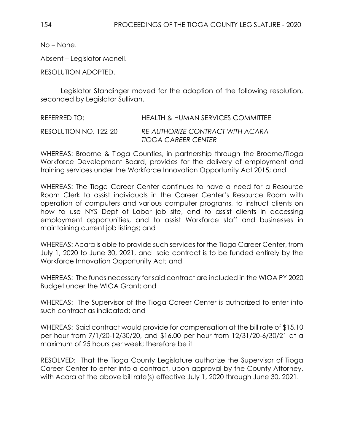No – None.

Absent – Legislator Monell.

RESOLUTION ADOPTED.

Legislator Standinger moved for the adoption of the following resolution, seconded by Legislator Sullivan.

REFERRED TO: HEALTH & HUMAN SERVICES COMMITTEE RESOLUTION NO. 122-20 *RE-AUTHORIZE CONTRACT WITH ACARA TIOGA CAREER CENTER*

WHEREAS: Broome & Tioga Counties, in partnership through the Broome/Tioga Workforce Development Board, provides for the delivery of employment and training services under the Workforce Innovation Opportunity Act 2015; and

WHEREAS: The Tioga Career Center continues to have a need for a Resource Room Clerk to assist individuals in the Career Center's Resource Room with operation of computers and various computer programs, to instruct clients on how to use NYS Dept of Labor job site, and to assist clients in accessing employment opportunities, and to assist Workforce staff and businesses in maintaining current job listings; and

WHEREAS: Acara is able to provide such services for the Tioga Career Center, from July 1, 2020 to June 30, 2021, and said contract is to be funded entirely by the Workforce Innovation Opportunity Act; and

WHEREAS: The funds necessary for said contract are included in the WIOA PY 2020 Budget under the WIOA Grant; and

WHEREAS: The Supervisor of the Tioga Career Center is authorized to enter into such contract as indicated; and

WHEREAS: Said contract would provide for compensation at the bill rate of \$15.10 per hour from 7/1/20-12/30/20, and \$16.00 per hour from 12/31/20-6/30/21 at a maximum of 25 hours per week; therefore be it

RESOLVED: That the Tioga County Legislature authorize the Supervisor of Tioga Career Center to enter into a contract, upon approval by the County Attorney, with Acara at the above bill rate(s) effective July 1, 2020 through June 30, 2021.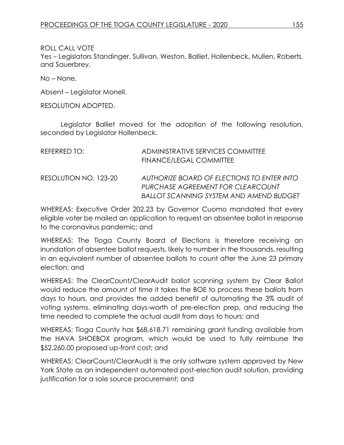ROLL CALL VOTE

Yes – Legislators Standinger, Sullivan, Weston, Balliet, Hollenbeck, Mullen, Roberts, and Sauerbrey.

No – None.

Absent – Legislator Monell.

RESOLUTION ADOPTED.

Legislator Balliet moved for the adoption of the following resolution, seconded by Legislator Hollenbeck.

| REFERRED TO:          | ADMINISTRATIVE SERVICES COMMITTEE<br><b>FINANCE/LEGAL COMMITTEE</b>                                                               |
|-----------------------|-----------------------------------------------------------------------------------------------------------------------------------|
| RESOLUTION NO. 123-20 | AUTHORIZE BOARD OF ELECTIONS TO ENTER INTO<br>PURCHASE AGREEMENT FOR CLEARCOUNT<br><b>BALLOT SCANNING SYSTEM AND AMEND BUDGET</b> |

WHEREAS: Executive Order 202.23 by Governor Cuomo mandated that every eligible voter be mailed an application to request an absentee ballot in response to the coronavirus pandemic; and

WHEREAS: The Tioga County Board of Elections is therefore receiving an inundation of absentee ballot requests, likely to number in the thousands, resulting in an equivalent number of absentee ballots to count after the June 23 primary election; and

WHEREAS: The ClearCount/ClearAudit ballot scanning system by Clear Ballot would reduce the amount of time it takes the BOE to process these ballots from days to hours, and provides the added benefit of automating the 3% audit of voting systems, eliminating days-worth of pre-election prep, and reducing the time needed to complete the actual audit from days to hours; and

WHEREAS: Tioga County has \$68,618.71 remaining grant funding available from the HAVA SHOEBOX program, which would be used to fully reimburse the \$52,260.00 proposed up-front cost; and

WHEREAS: ClearCount/ClearAudit is the only software system approved by New York State as an independent automated post-election audit solution, providing justification for a sole source procurement; and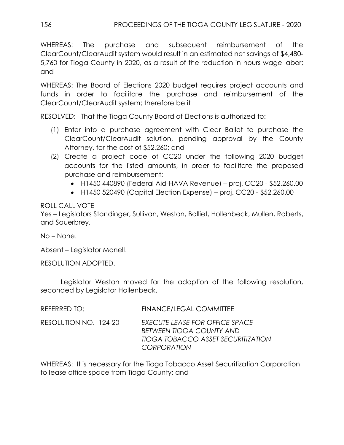WHEREAS: The purchase and subsequent reimbursement of the ClearCount/ClearAudit system would result in an estimated net savings of \$4,480- 5,760 for Tioga County in 2020, as a result of the reduction in hours wage labor; and

WHEREAS: The Board of Elections 2020 budget requires project accounts and funds in order to facilitate the purchase and reimbursement of the ClearCount/ClearAudit system; therefore be it

RESOLVED: That the Tioga County Board of Elections is authorized to:

- (1) Enter into a purchase agreement with Clear Ballot to purchase the ClearCount/ClearAudit solution, pending approval by the County Attorney, for the cost of \$52,260; and
- (2) Create a project code of CC20 under the following 2020 budget accounts for the listed amounts, in order to facilitate the proposed purchase and reimbursement:
	- H1450 440890 (Federal Aid-HAVA Revenue) proj. CC20 \$52,260.00
	- $\bullet$  H1450 520490 (Capital Election Expense) proj. CC20 \$52,260.00

ROLL CALL VOTE

Yes – Legislators Standinger, Sullivan, Weston, Balliet, Hollenbeck, Mullen, Roberts, and Sauerbrey.

No – None.

Absent – Legislator Monell.

RESOLUTION ADOPTED.

Legislator Weston moved for the adoption of the following resolution, seconded by Legislator Hollenbeck.

| REFERRED TO:          | <b>FINANCE/LEGAL COMMITTEE</b>                                                                                                       |
|-----------------------|--------------------------------------------------------------------------------------------------------------------------------------|
| RESOLUTION NO. 124-20 | EXECUTE LEASE FOR OFFICE SPACE<br><b>BETWEEN TIOGA COUNTY AND</b><br><b>TIOGA TOBACCO ASSET SECURITIZATION</b><br><b>CORPORATION</b> |

WHEREAS: It is necessary for the Tioga Tobacco Asset Securitization Corporation to lease office space from Tioga County; and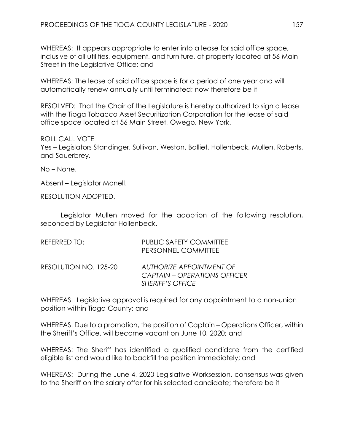WHEREAS: It appears appropriate to enter into a lease for said office space, inclusive of all utilities, equipment, and furniture, at property located at 56 Main Street in the Legislative Office; and

WHEREAS: The lease of said office space is for a period of one year and will automatically renew annually until terminated; now therefore be it

RESOLVED: That the Chair of the Legislature is hereby authorized to sign a lease with the Tioga Tobacco Asset Securitization Corporation for the lease of said office space located at 56 Main Street, Owego, New York.

ROLL CALL VOTE Yes – Legislators Standinger, Sullivan, Weston, Balliet, Hollenbeck, Mullen, Roberts, and Sauerbrey.

No – None.

Absent – Legislator Monell.

RESOLUTION ADOPTED.

Legislator Mullen moved for the adoption of the following resolution, seconded by Legislator Hollenbeck.

| REFERRED TO:          | <b>PUBLIC SAFETY COMMITTEE</b><br>PERSONNEL COMMITTEE                                      |
|-----------------------|--------------------------------------------------------------------------------------------|
| RESOLUTION NO. 125-20 | AUTHORIZE APPOINTMENT OF<br><b>CAPTAIN – OPERATIONS OFFICER</b><br><b>SHERIFF'S OFFICE</b> |

WHEREAS: Legislative approval is required for any appointment to a non-union position within Tioga County; and

WHEREAS: Due to a promotion, the position of Captain – Operations Officer, within the Sheriff's Office, will become vacant on June 10, 2020; and

WHEREAS: The Sheriff has identified a qualified candidate from the certified eligible list and would like to backfill the position immediately; and

WHEREAS: During the June 4, 2020 Legislative Worksession, consensus was given to the Sheriff on the salary offer for his selected candidate; therefore be it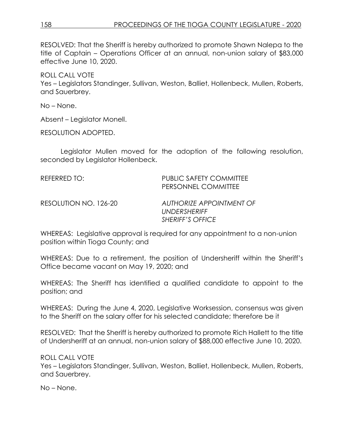RESOLVED: That the Sheriff is hereby authorized to promote Shawn Nalepa to the title of Captain – Operations Officer at an annual, non-union salary of \$83,000 effective June 10, 2020.

ROLL CALL VOTE Yes – Legislators Standinger, Sullivan, Weston, Balliet, Hollenbeck, Mullen, Roberts, and Sauerbrey.

No – None.

Absent – Legislator Monell.

RESOLUTION ADOPTED.

Legislator Mullen moved for the adoption of the following resolution, seconded by Legislator Hollenbeck.

REFERRED TO: PUBLIC SAFETY COMMITTEE PERSONNEL COMMITTEE

RESOLUTION NO. 126-20 *AUTHORIZE APPOINTMENT OF UNDERSHERIFF SHERIFF'S OFFICE*

WHEREAS: Legislative approval is required for any appointment to a non-union position within Tioga County; and

WHEREAS: Due to a retirement, the position of Undersheriff within the Sheriff's Office became vacant on May 19, 2020; and

WHEREAS: The Sheriff has identified a qualified candidate to appoint to the position; and

WHEREAS: During the June 4, 2020, Legislative Worksession, consensus was given to the Sheriff on the salary offer for his selected candidate; therefore be it

RESOLVED: That the Sheriff is hereby authorized to promote Rich Hallett to the title of Undersheriff at an annual, non-union salary of \$88,000 effective June 10, 2020.

ROLL CALL VOTE

Yes – Legislators Standinger, Sullivan, Weston, Balliet, Hollenbeck, Mullen, Roberts, and Sauerbrey.

No – None.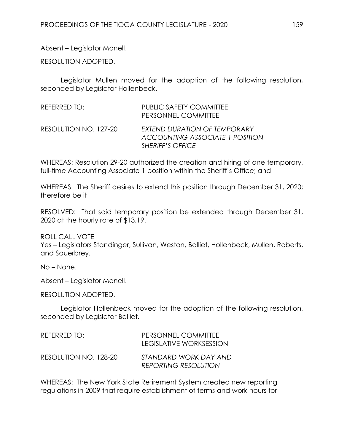Absent – Legislator Monell.

RESOLUTION ADOPTED.

Legislator Mullen moved for the adoption of the following resolution, seconded by Legislator Hollenbeck.

| REFERRED TO:          | PUBLIC SAFETY COMMITTEE<br>PERSONNEL COMMITTEE                                             |
|-----------------------|--------------------------------------------------------------------------------------------|
| RESOLUTION NO. 127-20 | EXTEND DURATION OF TEMPORARY<br><b>ACCOUNTING ASSOCIATE 1 POSITION</b><br>SHERIFF'S OFFICE |

WHEREAS: Resolution 29-20 authorized the creation and hiring of one temporary, full-time Accounting Associate 1 position within the Sheriff's Office; and

WHEREAS: The Sheriff desires to extend this position through December 31, 2020; therefore be it

RESOLVED: That said temporary position be extended through December 31, 2020 at the hourly rate of \$13.19.

ROLL CALL VOTE

Yes – Legislators Standinger, Sullivan, Weston, Balliet, Hollenbeck, Mullen, Roberts, and Sauerbrey.

No – None.

Absent – Legislator Monell.

RESOLUTION ADOPTED.

Legislator Hollenbeck moved for the adoption of the following resolution, seconded by Legislator Balliet.

| REFERRED TO:          | PERSONNEL COMMITTEE<br><b>LEGISLATIVE WORKSESSION</b> |
|-----------------------|-------------------------------------------------------|
| RESOLUTION NO. 128-20 | STANDARD WORK DAY AND<br><b>REPORTING RESOLUTION</b>  |

WHEREAS: The New York State Retirement System created new reporting regulations in 2009 that require establishment of terms and work hours for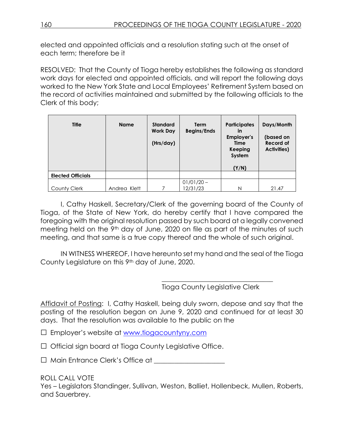elected and appointed officials and a resolution stating such at the onset of each term; therefore be it

RESOLVED: That the County of Tioga hereby establishes the following as standard work days for elected and appointed officials, and will report the following days worked to the New York State and Local Employees' Retirement System based on the record of activities maintained and submitted by the following officials to the Clerk of this body;

| <b>Title</b>             | <b>Name</b>  | <b>Standard</b><br><b>Work Day</b><br>(Hrs/day) | <b>Term</b><br><b>Begins/Ends</b> | <b>Participates</b><br>in<br>Employer's<br>Time<br>Keeping<br>System<br>(Y/N) | Days/Month<br>(based on<br>Record of<br>Activities) |
|--------------------------|--------------|-------------------------------------------------|-----------------------------------|-------------------------------------------------------------------------------|-----------------------------------------------------|
| <b>Elected Officials</b> |              |                                                 |                                   |                                                                               |                                                     |
|                          |              |                                                 | $01/01/20 -$                      |                                                                               |                                                     |
| County Clerk             | Andrea Klett |                                                 | 12/31/23                          | N                                                                             | 21.47                                               |

I, Cathy Haskell, Secretary/Clerk of the governing board of the County of Tioga, of the State of New York, do hereby certify that I have compared the foregoing with the original resolution passed by such board at a legally convened meeting held on the 9<sup>th</sup> day of June, 2020 on file as part of the minutes of such meeting, and that same is a true copy thereof and the whole of such original.

IN WITNESS WHEREOF, I have hereunto set my hand and the seal of the Tioga County Legislature on this 9th day of June, 2020.

Tioga County Legislative Clerk

\_\_\_\_\_\_\_\_\_\_\_\_\_\_\_\_\_\_\_\_\_\_\_\_\_\_\_\_\_\_\_\_\_

Affidavit of Posting: I, Cathy Haskell, being duly sworn, depose and say that the posting of the resolution began on June 9, 2020 and continued for at least 30 days. That the resolution was available to the public on the

□ Employer's website at [www.tiogacountyny.com](http://www.tiogacountyny.com/)

□ Official sign board at Tioga County Legislative Office.

□ Main Entrance Clerk's Office at \_\_\_\_\_\_\_\_\_\_\_\_\_\_\_\_\_\_\_\_\_

ROLL CALL VOTE

Yes – Legislators Standinger, Sullivan, Weston, Balliet, Hollenbeck, Mullen, Roberts, and Sauerbrey.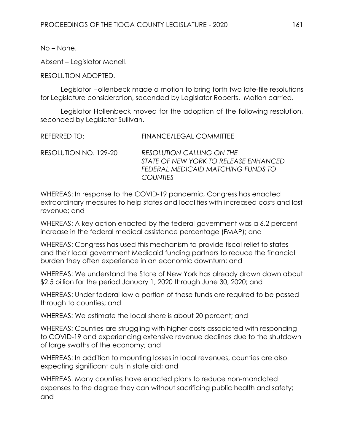No – None.

Absent – Legislator Monell.

## RESOLUTION ADOPTED.

Legislator Hollenbeck made a motion to bring forth two late-file resolutions for Legislature consideration, seconded by Legislator Roberts. Motion carried.

Legislator Hollenbeck moved for the adoption of the following resolution, seconded by Legislator Sullivan.

| REFERRED TO:          | <b>FINANCE/LEGAL COMMITTEE</b>                                                                                                     |
|-----------------------|------------------------------------------------------------------------------------------------------------------------------------|
| RESOLUTION NO. 129-20 | <b>RESOLUTION CALLING ON THE</b><br>STATE OF NEW YORK TO RELEASE ENHANCED<br>FEDERAL MEDICAID MATCHING FUNDS TO<br><b>COUNTIES</b> |

WHEREAS: In response to the COVID-19 pandemic, Congress has enacted extraordinary measures to help states and localities with increased costs and lost revenue; and

WHEREAS: A key action enacted by the federal government was a 6.2 percent increase in the federal medical assistance percentage (FMAP); and

WHEREAS: Congress has used this mechanism to provide fiscal relief to states and their local government Medicaid funding partners to reduce the financial burden they often experience in an economic downturn; and

WHEREAS: We understand the State of New York has already drawn down about \$2.5 billion for the period January 1, 2020 through June 30, 2020; and

WHEREAS: Under federal law a portion of these funds are required to be passed through to counties; and

WHEREAS: We estimate the local share is about 20 percent; and

WHEREAS: Counties are struggling with higher costs associated with responding to COVID-19 and experiencing extensive revenue declines due to the shutdown of large swaths of the economy; and

WHEREAS: In addition to mounting losses in local revenues, counties are also expecting significant cuts in state aid; and

WHEREAS: Many counties have enacted plans to reduce non-mandated expenses to the degree they can without sacrificing public health and safety; and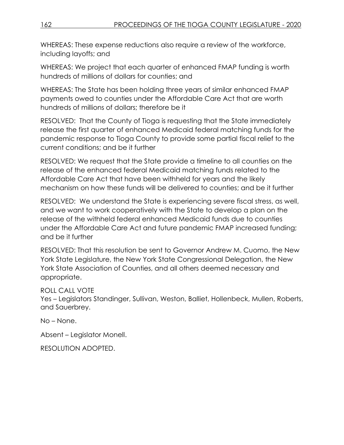WHEREAS: These expense reductions also require a review of the workforce, including layoffs; and

WHEREAS: We project that each quarter of enhanced FMAP funding is worth hundreds of millions of dollars for counties; and

WHEREAS: The State has been holding three years of similar enhanced FMAP payments owed to counties under the Affordable Care Act that are worth hundreds of millions of dollars; therefore be it

RESOLVED: That the County of Tioga is requesting that the State immediately release the first quarter of enhanced Medicaid federal matching funds for the pandemic response to Tioga County to provide some partial fiscal relief to the current conditions; and be it further

RESOLVED: We request that the State provide a timeline to all counties on the release of the enhanced federal Medicaid matching funds related to the Affordable Care Act that have been withheld for years and the likely mechanism on how these funds will be delivered to counties; and be it further

RESOLVED: We understand the State is experiencing severe fiscal stress, as well, and we want to work cooperatively with the State to develop a plan on the release of the withheld federal enhanced Medicaid funds due to counties under the Affordable Care Act and future pandemic FMAP increased funding; and be it further

RESOLVED: That this resolution be sent to Governor Andrew M. Cuomo, the New York State Legislature, the New York State Congressional Delegation, the New York State Association of Counties, and all others deemed necessary and appropriate.

ROLL CALL VOTE

Yes – Legislators Standinger, Sullivan, Weston, Balliet, Hollenbeck, Mullen, Roberts, and Sauerbrey.

No – None.

Absent – Legislator Monell.

RESOLUTION ADOPTED.